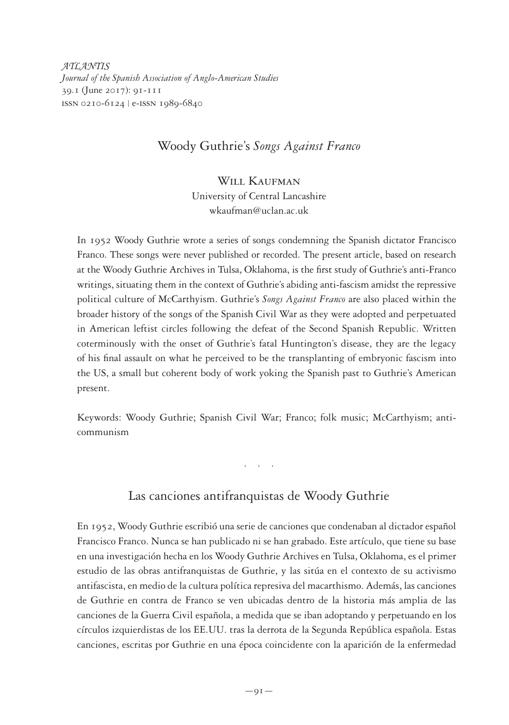*ATLANTIS Journal of the Spanish Association of Anglo-American Studies* 39.1 (June 2017): 91-111 issn 0210-6124 | e-issn 1989-6840

## Woody Guthrie's *Songs Against Franco*

## WILL KAUFMAN

University of Central Lancashire wkaufman@uclan.ac.uk

In 1952 Woody Guthrie wrote a series of songs condemning the Spanish dictator Francisco Franco. These songs were never published or recorded. The present article, based on research at the Woody Guthrie Archives in Tulsa, Oklahoma, is the first study of Guthrie's anti-Franco writings, situating them in the context of Guthrie's abiding anti-fascism amidst the repressive political culture of McCarthyism. Guthrie's *Songs Against Franco* are also placed within the broader history of the songs of the Spanish Civil War as they were adopted and perpetuated in American leftist circles following the defeat of the Second Spanish Republic. Written coterminously with the onset of Guthrie's fatal Huntington's disease, they are the legacy of his final assault on what he perceived to be the transplanting of embryonic fascism into the US, a small but coherent body of work yoking the Spanish past to Guthrie's American present.

Keywords: Woody Guthrie; Spanish Civil War; Franco; folk music; McCarthyism; anticommunism

Las canciones antifranquistas de Woody Guthrie

. . . .

En 1952, Woody Guthrie escribió una serie de canciones que condenaban al dictador español Francisco Franco. Nunca se han publicado ni se han grabado. Este artículo, que tiene su base en una investigación hecha en los Woody Guthrie Archives en Tulsa, Oklahoma, es el primer estudio de las obras antifranquistas de Guthrie, y las sitúa en el contexto de su activismo antifascista, en medio de la cultura política represiva del macarthismo. Además, las canciones de Guthrie en contra de Franco se ven ubicadas dentro de la historia más amplia de las canciones de la Guerra Civil española, a medida que se iban adoptando y perpetuando en los círculos izquierdistas de los EE.UU. tras la derrota de la Segunda República española. Estas canciones, escritas por Guthrie en una época coincidente con la aparición de la enfermedad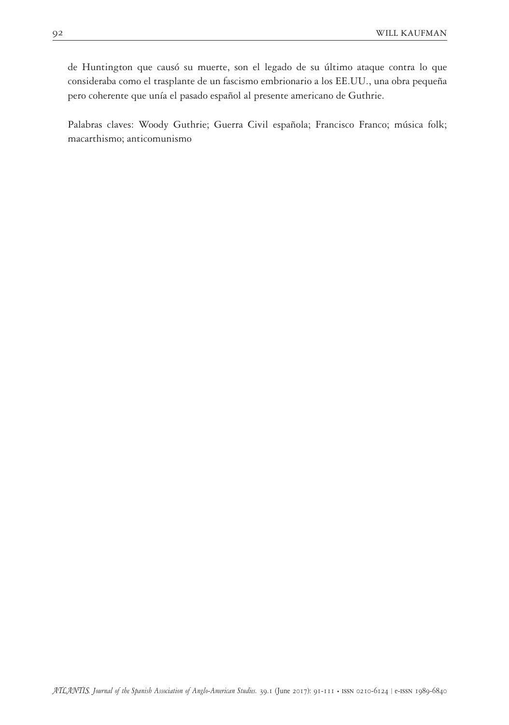de Huntington que causó su muerte, son el legado de su último ataque contra lo que consideraba como el trasplante de un fascismo embrionario a los EE.UU., una obra pequeña pero coherente que unía el pasado español al presente americano de Guthrie.

Palabras claves: Woody Guthrie; Guerra Civil española; Francisco Franco; música folk; macarthismo; anticomunismo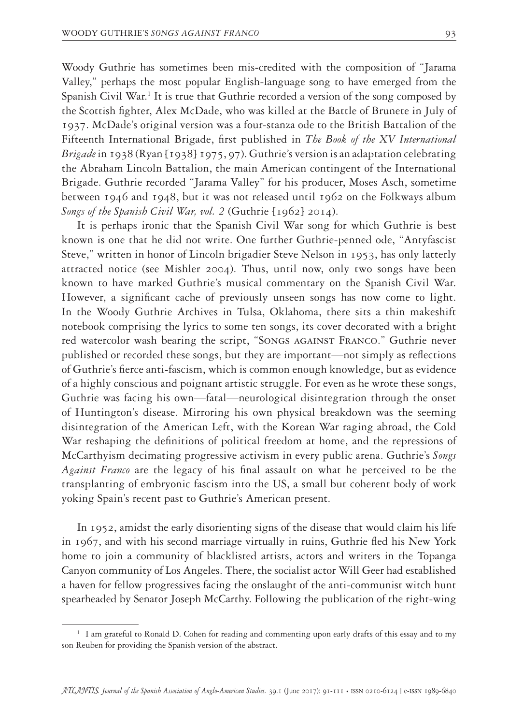Woody Guthrie has sometimes been mis-credited with the composition of "Jarama Valley," perhaps the most popular English-language song to have emerged from the Spanish Civil War.<sup>1</sup> It is true that Guthrie recorded a version of the song composed by the Scottish fighter, Alex McDade, who was killed at the Battle of Brunete in July of 1937. McDade's original version was a four-stanza ode to the British Battalion of the Fifteenth International Brigade, first published in *The Book of the XV International Brigade* in 1938 (Ryan [1938] 1975, 97). Guthrie's version is an adaptation celebrating the Abraham Lincoln Battalion, the main American contingent of the International Brigade. Guthrie recorded "Jarama Valley" for his producer, Moses Asch, sometime between 1946 and 1948, but it was not released until 1962 on the Folkways album *Songs of the Spanish Civil War, vol. 2* (Guthrie [1962] 2014).

It is perhaps ironic that the Spanish Civil War song for which Guthrie is best known is one that he did not write. One further Guthrie-penned ode, "Antyfascist Steve," written in honor of Lincoln brigadier Steve Nelson in 1953, has only latterly attracted notice (see Mishler 2004). Thus, until now, only two songs have been known to have marked Guthrie's musical commentary on the Spanish Civil War. However, a significant cache of previously unseen songs has now come to light. In the Woody Guthrie Archives in Tulsa, Oklahoma, there sits a thin makeshift notebook comprising the lyrics to some ten songs, its cover decorated with a bright red watercolor wash bearing the script, "Songs against Franco." Guthrie never published or recorded these songs, but they are important—not simply as reflections of Guthrie's fierce anti-fascism, which is common enough knowledge, but as evidence of a highly conscious and poignant artistic struggle. For even as he wrote these songs, Guthrie was facing his own—fatal—neurological disintegration through the onset of Huntington's disease. Mirroring his own physical breakdown was the seeming disintegration of the American Left, with the Korean War raging abroad, the Cold War reshaping the definitions of political freedom at home, and the repressions of McCarthyism decimating progressive activism in every public arena. Guthrie's *Songs Against Franco* are the legacy of his final assault on what he perceived to be the transplanting of embryonic fascism into the US, a small but coherent body of work yoking Spain's recent past to Guthrie's American present.

In 1952, amidst the early disorienting signs of the disease that would claim his life in 1967, and with his second marriage virtually in ruins, Guthrie fled his New York home to join a community of blacklisted artists, actors and writers in the Topanga Canyon community of Los Angeles. There, the socialist actor Will Geer had established a haven for fellow progressives facing the onslaught of the anti-communist witch hunt spearheaded by Senator Joseph McCarthy. Following the publication of the right-wing

<sup>&</sup>lt;sup>1</sup> I am grateful to Ronald D. Cohen for reading and commenting upon early drafts of this essay and to my son Reuben for providing the Spanish version of the abstract.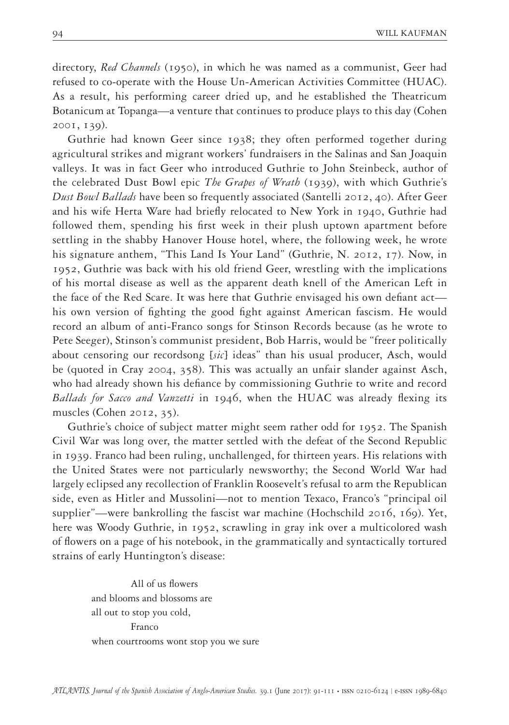directory, *Red Channels* (1950), in which he was named as a communist, Geer had refused to co-operate with the House Un-American Activities Committee (HUAC). As a result, his performing career dried up, and he established the Theatricum Botanicum at Topanga—a venture that continues to produce plays to this day (Cohen 2001, 139).

Guthrie had known Geer since 1938; they often performed together during agricultural strikes and migrant workers' fundraisers in the Salinas and San Joaquin valleys. It was in fact Geer who introduced Guthrie to John Steinbeck, author of the celebrated Dust Bowl epic *The Grapes of Wrath* (1939), with which Guthrie's *Dust Bowl Ballads* have been so frequently associated (Santelli 2012, 40). After Geer and his wife Herta Ware had briefly relocated to New York in 1940, Guthrie had followed them, spending his first week in their plush uptown apartment before settling in the shabby Hanover House hotel, where, the following week, he wrote his signature anthem, "This Land Is Your Land" (Guthrie, N. 2012, 17). Now, in 1952, Guthrie was back with his old friend Geer, wrestling with the implications of his mortal disease as well as the apparent death knell of the American Left in the face of the Red Scare. It was here that Guthrie envisaged his own defiant act his own version of fighting the good fight against American fascism. He would record an album of anti-Franco songs for Stinson Records because (as he wrote to Pete Seeger), Stinson's communist president, Bob Harris, would be "freer politically about censoring our recordsong [*sic*] ideas" than his usual producer, Asch, would be (quoted in Cray 2004, 358). This was actually an unfair slander against Asch, who had already shown his defiance by commissioning Guthrie to write and record *Ballads for Sacco and Vanzetti* in 1946, when the HUAC was already flexing its muscles (Cohen 2012, 35).

Guthrie's choice of subject matter might seem rather odd for 1952. The Spanish Civil War was long over, the matter settled with the defeat of the Second Republic in 1939. Franco had been ruling, unchallenged, for thirteen years. His relations with the United States were not particularly newsworthy; the Second World War had largely eclipsed any recollection of Franklin Roosevelt's refusal to arm the Republican side, even as Hitler and Mussolini—not to mention Texaco, Franco's "principal oil supplier"—were bankrolling the fascist war machine (Hochschild 2016, 169). Yet, here was Woody Guthrie, in 1952, scrawling in gray ink over a multicolored wash of flowers on a page of his notebook, in the grammatically and syntactically tortured strains of early Huntington's disease:

 All of us flowers and blooms and blossoms are all out to stop you cold, Franco when courtrooms wont stop you we sure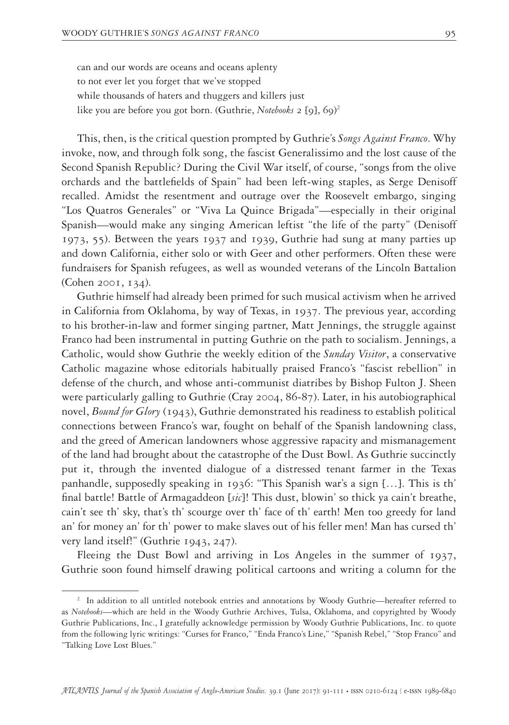can and our words are oceans and oceans aplenty to not ever let you forget that we've stopped while thousands of haters and thuggers and killers just like you are before you got born. (Guthrie, *Notebooks* 2 [9], 69) 2

This, then, is the critical question prompted by Guthrie's *Songs Against Franco*. Why invoke, now, and through folk song, the fascist Generalissimo and the lost cause of the Second Spanish Republic? During the Civil War itself, of course, "songs from the olive orchards and the battlefields of Spain" had been left-wing staples, as Serge Denisoff recalled. Amidst the resentment and outrage over the Roosevelt embargo, singing "Los Quatros Generales" or "Viva La Quince Brigada"—especially in their original Spanish—would make any singing American leftist "the life of the party" (Denisoff 1973, 55). Between the years 1937 and 1939, Guthrie had sung at many parties up and down California, either solo or with Geer and other performers. Often these were fundraisers for Spanish refugees, as well as wounded veterans of the Lincoln Battalion (Cohen 2001, 134).

Guthrie himself had already been primed for such musical activism when he arrived in California from Oklahoma, by way of Texas, in 1937. The previous year, according to his brother-in-law and former singing partner, Matt Jennings, the struggle against Franco had been instrumental in putting Guthrie on the path to socialism. Jennings, a Catholic, would show Guthrie the weekly edition of the *Sunday Visitor*, a conservative Catholic magazine whose editorials habitually praised Franco's "fascist rebellion" in defense of the church, and whose anti-communist diatribes by Bishop Fulton J. Sheen were particularly galling to Guthrie (Cray 2004, 86-87). Later, in his autobiographical novel, *Bound for Glory* (1943), Guthrie demonstrated his readiness to establish political connections between Franco's war, fought on behalf of the Spanish landowning class, and the greed of American landowners whose aggressive rapacity and mismanagement of the land had brought about the catastrophe of the Dust Bowl. As Guthrie succinctly put it, through the invented dialogue of a distressed tenant farmer in the Texas panhandle, supposedly speaking in 1936: "This Spanish war's a sign […]. This is th' final battle! Battle of Armagaddeon [*sic*]! This dust, blowin' so thick ya cain't breathe, cain't see th' sky, that's th' scourge over th' face of th' earth! Men too greedy for land an' for money an' for th' power to make slaves out of his feller men! Man has cursed th' very land itself!" (Guthrie 1943, 247).

Fleeing the Dust Bowl and arriving in Los Angeles in the summer of 1937, Guthrie soon found himself drawing political cartoons and writing a column for the

<sup>&</sup>lt;sup>2</sup> In addition to all untitled notebook entries and annotations by Woody Guthrie—hereafter referred to as *Notebooks*—which are held in the Woody Guthrie Archives, Tulsa, Oklahoma, and copyrighted by Woody Guthrie Publications, Inc., I gratefully acknowledge permission by Woody Guthrie Publications, Inc. to quote from the following lyric writings: "Curses for Franco," "Enda Franco's Line," "Spanish Rebel," "Stop Franco" and "Talking Love Lost Blues."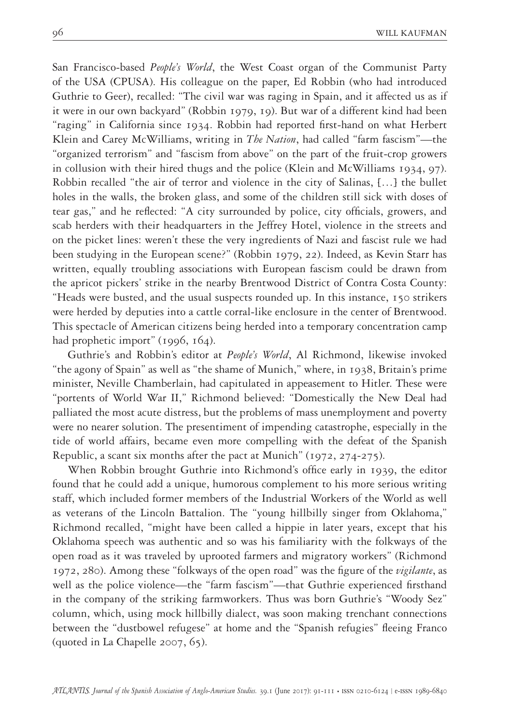San Francisco-based *People's World*, the West Coast organ of the Communist Party of the USA (CPUSA). His colleague on the paper, Ed Robbin (who had introduced Guthrie to Geer), recalled: "The civil war was raging in Spain, and it affected us as if it were in our own backyard" (Robbin 1979, 19). But war of a different kind had been "raging" in California since 1934. Robbin had reported first-hand on what Herbert Klein and Carey McWilliams, writing in *The Nation*, had called "farm fascism"—the "organized terrorism" and "fascism from above" on the part of the fruit-crop growers in collusion with their hired thugs and the police (Klein and McWilliams 1934, 97). Robbin recalled "the air of terror and violence in the city of Salinas, […] the bullet holes in the walls, the broken glass, and some of the children still sick with doses of tear gas," and he reflected: "A city surrounded by police, city officials, growers, and scab herders with their headquarters in the Jeffrey Hotel, violence in the streets and on the picket lines: weren't these the very ingredients of Nazi and fascist rule we had been studying in the European scene?" (Robbin 1979, 22). Indeed, as Kevin Starr has written, equally troubling associations with European fascism could be drawn from the apricot pickers' strike in the nearby Brentwood District of Contra Costa County: "Heads were busted, and the usual suspects rounded up. In this instance, 150 strikers were herded by deputies into a cattle corral-like enclosure in the center of Brentwood. This spectacle of American citizens being herded into a temporary concentration camp had prophetic import" (1996, 164).

Guthrie's and Robbin's editor at *People's World*, Al Richmond, likewise invoked "the agony of Spain" as well as "the shame of Munich," where, in 1938, Britain's prime minister, Neville Chamberlain, had capitulated in appeasement to Hitler. These were "portents of World War II," Richmond believed: "Domestically the New Deal had palliated the most acute distress, but the problems of mass unemployment and poverty were no nearer solution. The presentiment of impending catastrophe, especially in the tide of world affairs, became even more compelling with the defeat of the Spanish Republic, a scant six months after the pact at Munich" (1972, 274-275).

When Robbin brought Guthrie into Richmond's office early in 1939, the editor found that he could add a unique, humorous complement to his more serious writing staff, which included former members of the Industrial Workers of the World as well as veterans of the Lincoln Battalion. The "young hillbilly singer from Oklahoma," Richmond recalled, "might have been called a hippie in later years, except that his Oklahoma speech was authentic and so was his familiarity with the folkways of the open road as it was traveled by uprooted farmers and migratory workers" (Richmond 1972, 280). Among these "folkways of the open road" was the figure of the *vigilante*, as well as the police violence—the "farm fascism"—that Guthrie experienced firsthand in the company of the striking farmworkers. Thus was born Guthrie's "Woody Sez" column, which, using mock hillbilly dialect, was soon making trenchant connections between the "dustbowel refugese" at home and the "Spanish refugies" fleeing Franco (quoted in La Chapelle 2007, 65).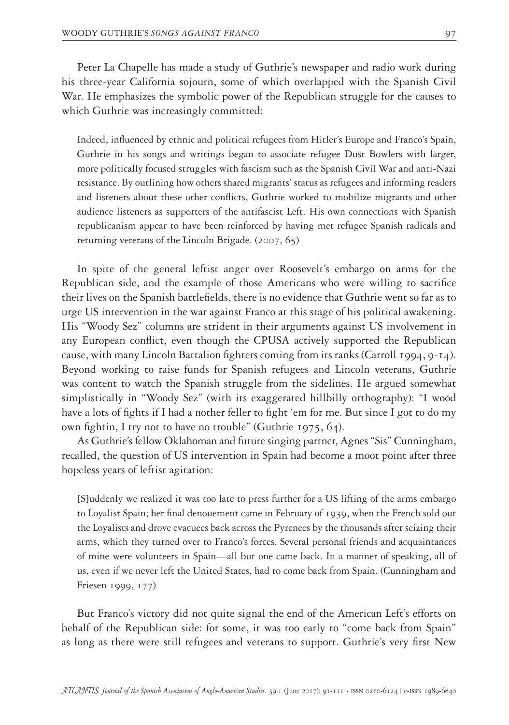Peter La Chapelle has made a study of Guthrie's newspaper and radio work during his three-year California sojourn, some of which overlapped with the Spanish Civil War. He emphasizes the symbolic power of the Republican struggle for the causes to which Guthrie was increasingly committed:

Indeed, influenced by ethnic and political refugees from Hitler's Europe and Franco's Spain, Guthrie in his songs and writings began to associate refugee Dust Bowlers with larger, more politically focused struggles with fascism such as the Spanish Civil War and anti-Nazi resistance. By outlining how others shared migrants' status as refugees and informing readers and listeners about these other conflicts, Guthrie worked to mobilize migrants and other audience listeners as supporters of the antifascist Left. His own connections with Spanish republicanism appear to have been reinforced by having met refugee Spanish radicals and returning veterans of the Lincoln Brigade. (2007, 65)

In spite of the general leftist anger over Roosevelt's embargo on arms for the Republican side, and the example of those Americans who were willing to sacrifice their lives on the Spanish battlefields, there is no evidence that Guthrie went so far as to urge US intervention in the war against Franco at this stage of his political awakening. His "Woody Sez" columns are strident in their arguments against US involvement in any European conflict, even though the CPUSA actively supported the Republican cause, with many Lincoln Battalion fighters coming from its ranks (Carroll 1994, 9-14). Beyond working to raise funds for Spanish refugees and Lincoln veterans, Guthrie was content to watch the Spanish struggle from the sidelines. He argued somewhat simplistically in "Woody Sez" (with its exaggerated hillbilly orthography): "I wood have a lots of fights if I had a nother feller to fight 'em for me. But since I got to do my own fightin, I try not to have no trouble" (Guthrie 1975, 64).

As Guthrie's fellow Oklahoman and future singing partner, Agnes "Sis" Cunningham, recalled, the question of US intervention in Spain had become a moot point after three hopeless years of leftist agitation:

[S]uddenly we realized it was too late to press further for a US lifting of the arms embargo to Loyalist Spain; her final denouement came in February of 1939, when the French sold out the Loyalists and drove evacuees back across the Pyrenees by the thousands after seizing their arms, which they turned over to Franco's forces. Several personal friends and acquaintances of mine were volunteers in Spain—all but one came back. In a manner of speaking, all of us, even if we never left the United States, had to come back from Spain. (Cunningham and Friesen 1999, 177)

But Franco's victory did not quite signal the end of the American Left's efforts on behalf of the Republican side: for some, it was too early to "come back from Spain" as long as there were still refugees and veterans to support. Guthrie's very first New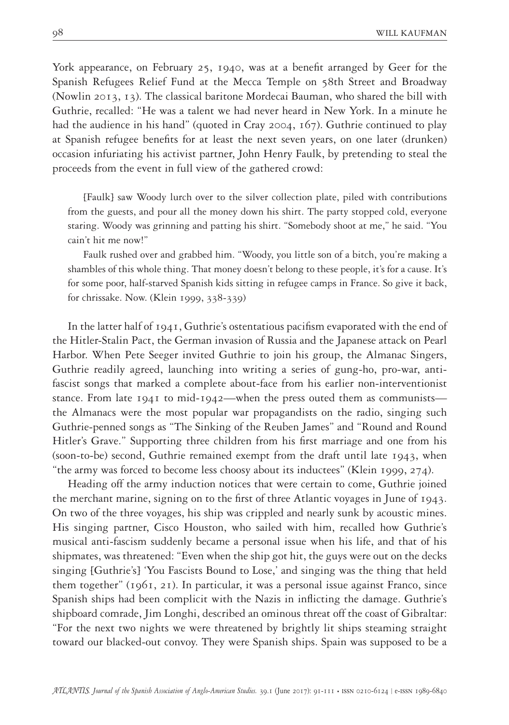York appearance, on February 25, 1940, was at a benefit arranged by Geer for the Spanish Refugees Relief Fund at the Mecca Temple on 58th Street and Broadway (Nowlin 2013, 13). The classical baritone Mordecai Bauman, who shared the bill with Guthrie, recalled: "He was a talent we had never heard in New York. In a minute he had the audience in his hand" (quoted in Cray 2004, 167). Guthrie continued to play at Spanish refugee benefits for at least the next seven years, on one later (drunken) occasion infuriating his activist partner, John Henry Faulk, by pretending to steal the proceeds from the event in full view of the gathered crowd:

[Faulk] saw Woody lurch over to the silver collection plate, piled with contributions from the guests, and pour all the money down his shirt. The party stopped cold, everyone staring. Woody was grinning and patting his shirt. "Somebody shoot at me," he said. "You cain't hit me now!"

Faulk rushed over and grabbed him. "Woody, you little son of a bitch, you're making a shambles of this whole thing. That money doesn't belong to these people, it's for a cause. It's for some poor, half-starved Spanish kids sitting in refugee camps in France. So give it back, for chrissake. Now. (Klein 1999, 338-339)

In the latter half of 1941, Guthrie's ostentatious pacifism evaporated with the end of the Hitler-Stalin Pact, the German invasion of Russia and the Japanese attack on Pearl Harbor. When Pete Seeger invited Guthrie to join his group, the Almanac Singers, Guthrie readily agreed, launching into writing a series of gung-ho, pro-war, antifascist songs that marked a complete about-face from his earlier non-interventionist stance. From late 1941 to mid-1942—when the press outed them as communists the Almanacs were the most popular war propagandists on the radio, singing such Guthrie-penned songs as "The Sinking of the Reuben James" and "Round and Round Hitler's Grave." Supporting three children from his first marriage and one from his (soon-to-be) second, Guthrie remained exempt from the draft until late 1943, when "the army was forced to become less choosy about its inductees" (Klein 1999, 274).

Heading off the army induction notices that were certain to come, Guthrie joined the merchant marine, signing on to the first of three Atlantic voyages in June of 1943. On two of the three voyages, his ship was crippled and nearly sunk by acoustic mines. His singing partner, Cisco Houston, who sailed with him, recalled how Guthrie's musical anti-fascism suddenly became a personal issue when his life, and that of his shipmates, was threatened: "Even when the ship got hit, the guys were out on the decks singing [Guthrie's] 'You Fascists Bound to Lose,' and singing was the thing that held them together" (1961, 21). In particular, it was a personal issue against Franco, since Spanish ships had been complicit with the Nazis in inflicting the damage. Guthrie's shipboard comrade, Jim Longhi, described an ominous threat off the coast of Gibraltar: "For the next two nights we were threatened by brightly lit ships steaming straight toward our blacked-out convoy. They were Spanish ships. Spain was supposed to be a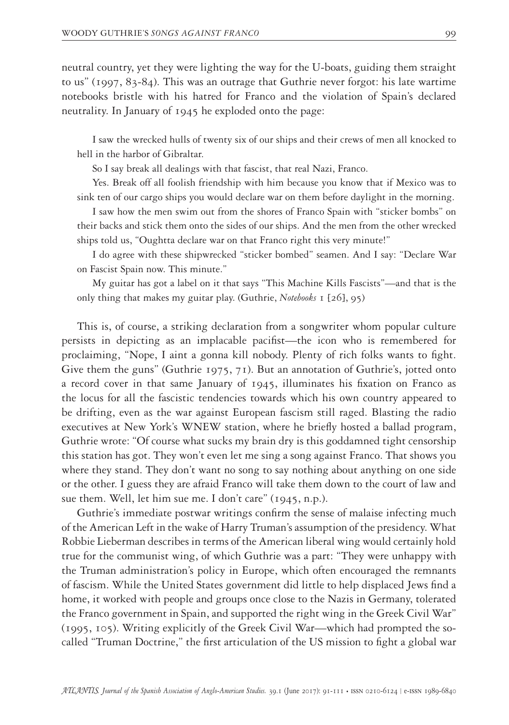neutral country, yet they were lighting the way for the U-boats, guiding them straight to us" (1997, 83-84). This was an outrage that Guthrie never forgot: his late wartime notebooks bristle with his hatred for Franco and the violation of Spain's declared neutrality. In January of 1945 he exploded onto the page:

I saw the wrecked hulls of twenty six of our ships and their crews of men all knocked to hell in the harbor of Gibraltar.

So I say break all dealings with that fascist, that real Nazi, Franco.

Yes. Break off all foolish friendship with him because you know that if Mexico was to sink ten of our cargo ships you would declare war on them before daylight in the morning.

I saw how the men swim out from the shores of Franco Spain with "sticker bombs" on their backs and stick them onto the sides of our ships. And the men from the other wrecked ships told us, "Oughtta declare war on that Franco right this very minute!"

I do agree with these shipwrecked "sticker bombed" seamen. And I say: "Declare War on Fascist Spain now. This minute."

My guitar has got a label on it that says "This Machine Kills Fascists"—and that is the only thing that makes my guitar play. (Guthrie, *Notebooks* 1 [26], 95)

This is, of course, a striking declaration from a songwriter whom popular culture persists in depicting as an implacable pacifist—the icon who is remembered for proclaiming, "Nope, I aint a gonna kill nobody. Plenty of rich folks wants to fight. Give them the guns" (Guthrie 1975, 71). But an annotation of Guthrie's, jotted onto a record cover in that same January of 1945, illuminates his fixation on Franco as the locus for all the fascistic tendencies towards which his own country appeared to be drifting, even as the war against European fascism still raged. Blasting the radio executives at New York's WNEW station, where he briefly hosted a ballad program, Guthrie wrote: "Of course what sucks my brain dry is this goddamned tight censorship this station has got. They won't even let me sing a song against Franco. That shows you where they stand. They don't want no song to say nothing about anything on one side or the other. I guess they are afraid Franco will take them down to the court of law and sue them. Well, let him sue me. I don't care" (1945, n.p.).

Guthrie's immediate postwar writings confirm the sense of malaise infecting much of the American Left in the wake of Harry Truman's assumption of the presidency. What Robbie Lieberman describes in terms of the American liberal wing would certainly hold true for the communist wing, of which Guthrie was a part: "They were unhappy with the Truman administration's policy in Europe, which often encouraged the remnants of fascism. While the United States government did little to help displaced Jews find a home, it worked with people and groups once close to the Nazis in Germany, tolerated the Franco government in Spain, and supported the right wing in the Greek Civil War" (1995, 105). Writing explicitly of the Greek Civil War—which had prompted the socalled "Truman Doctrine," the first articulation of the US mission to fight a global war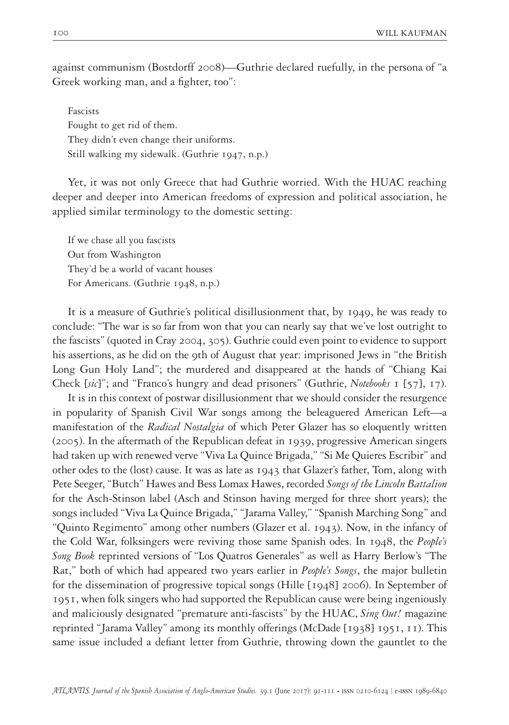against communism (Bostdorff 2008)—Guthrie declared ruefully, in the persona of "a Greek working man, and a fighter, too":

Fascists Fought to get rid of them. They didn't even change their uniforms. Still walking my sidewalk. (Guthrie 1947, n.p.)

Yet, it was not only Greece that had Guthrie worried. With the HUAC reaching deeper and deeper into American freedoms of expression and political association, he applied similar terminology to the domestic setting:

If we chase all you fascists Out from Washington They'd be a world of vacant houses For Americans. (Guthrie 1948, n.p.)

It is a measure of Guthrie's political disillusionment that, by 1949, he was ready to conclude: "The war is so far from won that you can nearly say that we've lost outright to the fascists" (quoted in Cray 2004, 305). Guthrie could even point to evidence to support his assertions, as he did on the 9th of August that year: imprisoned Jews in "the British Long Gun Holy Land"; the murdered and disappeared at the hands of "Chiang Kai Check [*sic*]"; and "Franco's hungry and dead prisoners" (Guthrie, *Notebooks* 1 [57], 17).

It is in this context of postwar disillusionment that we should consider the resurgence in popularity of Spanish Civil War songs among the beleaguered American Left—a manifestation of the *Radical Nostalgia* of which Peter Glazer has so eloquently written (2005). In the aftermath of the Republican defeat in 1939, progressive American singers had taken up with renewed verve "Viva La Quince Brigada," "Si Me Quieres Escribir" and other odes to the (lost) cause. It was as late as 1943 that Glazer's father, Tom, along with Pete Seeger, "Butch" Hawes and Bess Lomax Hawes, recorded *Songs of the Lincoln Battalion* for the Asch-Stinson label (Asch and Stinson having merged for three short years); the songs included "Viva La Quince Brigada," "Jarama Valley," "Spanish Marching Song" and "Quinto Regimento" among other numbers (Glazer et al. 1943). Now, in the infancy of the Cold War, folksingers were reviving those same Spanish odes. In 1948, the *People's Song Book* reprinted versions of "Los Quatros Generales" as well as Harry Berlow's "The Rat," both of which had appeared two years earlier in *People's Songs*, the major bulletin for the dissemination of progressive topical songs (Hille [1948] 2006). In September of 1951, when folk singers who had supported the Republican cause were being ingeniously and maliciously designated "premature anti-fascists" by the HUAC, *Sing Out!* magazine reprinted "Jarama Valley" among its monthly offerings (McDade [1938] 1951, 11). This same issue included a defiant letter from Guthrie, throwing down the gauntlet to the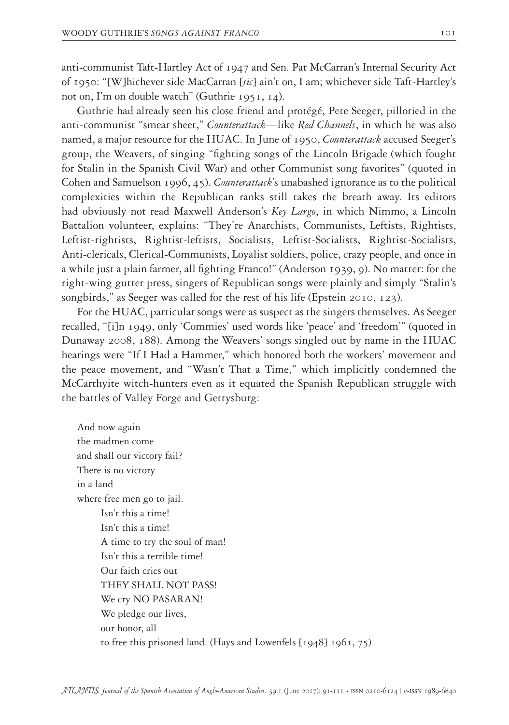anti-communist Taft-Hartley Act of 1947 and Sen. Pat McCarran's Internal Security Act of 1950: "[W]hichever side MacCarran [*sic*] ain't on, I am; whichever side Taft-Hartley's not on, I'm on double watch" (Guthrie 1951, 14).

Guthrie had already seen his close friend and protégé, Pete Seeger, pilloried in the anti-communist "smear sheet," *Counterattack—*like *Red Channels*, in which he was also named, a major resource for the HUAC. In June of 1950, *Counterattack* accused Seeger's group, the Weavers, of singing "fighting songs of the Lincoln Brigade (which fought for Stalin in the Spanish Civil War) and other Communist song favorites" (quoted in Cohen and Samuelson 1996, 45). *Counterattack*'s unabashed ignorance as to the political complexities within the Republican ranks still takes the breath away. Its editors had obviously not read Maxwell Anderson's *Key Largo*, in which Nimmo, a Lincoln Battalion volunteer, explains: "They're Anarchists, Communists, Leftists, Rightists, Leftist-rightists, Rightist-leftists, Socialists, Leftist-Socialists, Rightist-Socialists, Anti-clericals, Clerical-Communists, Loyalist soldiers, police, crazy people, and once in a while just a plain farmer, all fighting Franco!" (Anderson 1939, 9). No matter: for the right-wing gutter press, singers of Republican songs were plainly and simply "Stalin's songbirds," as Seeger was called for the rest of his life (Epstein 2010, 123).

For the HUAC, particular songs were as suspect as the singers themselves. As Seeger recalled, "[i]n 1949, only 'Commies' used words like 'peace' and 'freedom'" (quoted in Dunaway 2008, 188). Among the Weavers' songs singled out by name in the HUAC hearings were "If I Had a Hammer," which honored both the workers' movement and the peace movement, and "Wasn't That a Time," which implicitly condemned the McCarthyite witch-hunters even as it equated the Spanish Republican struggle with the battles of Valley Forge and Gettysburg:

And now again the madmen come and shall our victory fail? There is no victory in a land where free men go to jail. Isn't this a time! Isn't this a time! A time to try the soul of man! Isn't this a terrible time! Our faith cries out THEY SHALL NOT PASS! We cry NO PASARAN! We pledge our lives, our honor, all to free this prisoned land. (Hays and Lowenfels [1948] 1961, 75)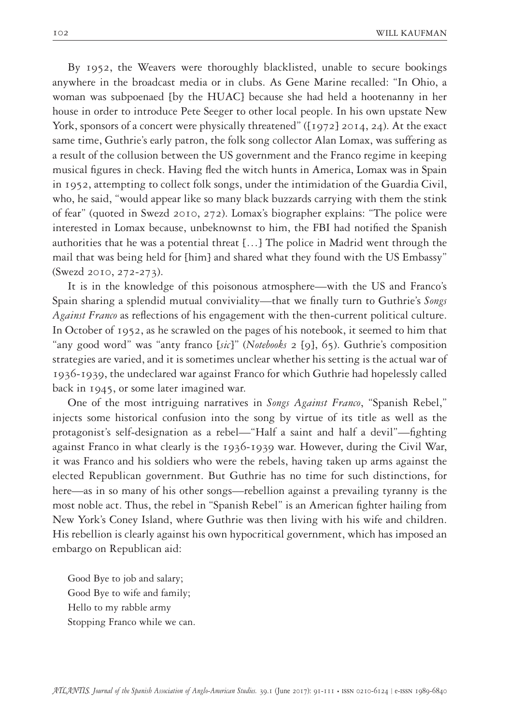By 1952, the Weavers were thoroughly blacklisted, unable to secure bookings anywhere in the broadcast media or in clubs. As Gene Marine recalled: "In Ohio, a woman was subpoenaed [by the HUAC] because she had held a hootenanny in her house in order to introduce Pete Seeger to other local people. In his own upstate New York, sponsors of a concert were physically threatened" ([1972] 2014, 24). At the exact same time, Guthrie's early patron, the folk song collector Alan Lomax, was suffering as a result of the collusion between the US government and the Franco regime in keeping musical figures in check. Having fled the witch hunts in America, Lomax was in Spain in 1952, attempting to collect folk songs, under the intimidation of the Guardia Civil, who, he said, "would appear like so many black buzzards carrying with them the stink of fear" (quoted in Swezd 2010, 272). Lomax's biographer explains: "The police were interested in Lomax because, unbeknownst to him, the FBI had notified the Spanish authorities that he was a potential threat […] The police in Madrid went through the mail that was being held for [him] and shared what they found with the US Embassy" (Swezd 2010, 272-273).

It is in the knowledge of this poisonous atmosphere—with the US and Franco's Spain sharing a splendid mutual conviviality—that we finally turn to Guthrie's *Songs Against Franco* as reflections of his engagement with the then-current political culture. In October of 1952, as he scrawled on the pages of his notebook, it seemed to him that "any good word" was "anty franco [*sic*]" (*Notebooks* 2 [9], 65). Guthrie's composition strategies are varied, and it is sometimes unclear whether his setting is the actual war of 1936-1939, the undeclared war against Franco for which Guthrie had hopelessly called back in 1945, or some later imagined war.

One of the most intriguing narratives in *Songs Against Franco*, "Spanish Rebel," injects some historical confusion into the song by virtue of its title as well as the protagonist's self-designation as a rebel—"Half a saint and half a devil"—fighting against Franco in what clearly is the 1936-1939 war. However, during the Civil War, it was Franco and his soldiers who were the rebels, having taken up arms against the elected Republican government. But Guthrie has no time for such distinctions, for here—as in so many of his other songs—rebellion against a prevailing tyranny is the most noble act. Thus, the rebel in "Spanish Rebel" is an American fighter hailing from New York's Coney Island, where Guthrie was then living with his wife and children. His rebellion is clearly against his own hypocritical government, which has imposed an embargo on Republican aid:

Good Bye to job and salary; Good Bye to wife and family; Hello to my rabble army Stopping Franco while we can.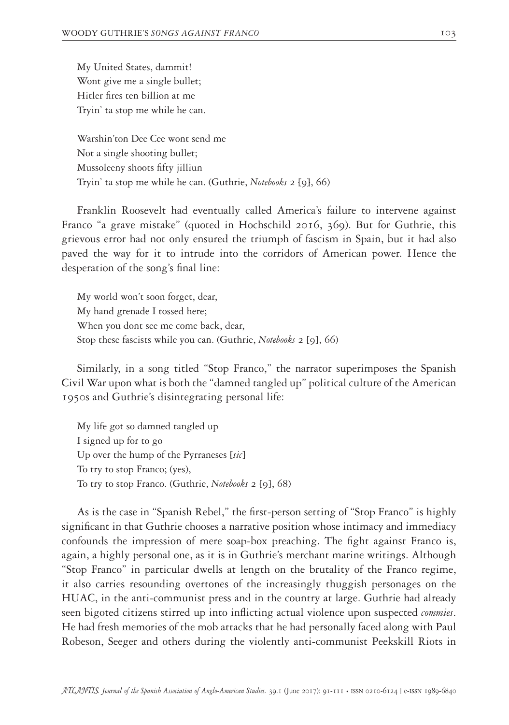My United States, dammit! Wont give me a single bullet; Hitler fires ten billion at me Tryin' ta stop me while he can.

Warshin'ton Dee Cee wont send me Not a single shooting bullet; Mussoleeny shoots fifty jilliun Tryin' ta stop me while he can. (Guthrie, *Notebooks* 2 [9], 66)

Franklin Roosevelt had eventually called America's failure to intervene against Franco "a grave mistake" (quoted in Hochschild 2016, 369). But for Guthrie, this grievous error had not only ensured the triumph of fascism in Spain, but it had also paved the way for it to intrude into the corridors of American power. Hence the desperation of the song's final line:

My world won't soon forget, dear, My hand grenade I tossed here; When you dont see me come back, dear, Stop these fascists while you can. (Guthrie, *Notebooks* 2 [9], 66)

Similarly, in a song titled "Stop Franco," the narrator superimposes the Spanish Civil War upon what is both the "damned tangled up" political culture of the American 1950s and Guthrie's disintegrating personal life:

My life got so damned tangled up I signed up for to go Up over the hump of the Pyrraneses [*sic*] To try to stop Franco; (yes), To try to stop Franco. (Guthrie, *Notebooks* 2 [9], 68)

As is the case in "Spanish Rebel," the first-person setting of "Stop Franco" is highly significant in that Guthrie chooses a narrative position whose intimacy and immediacy confounds the impression of mere soap-box preaching. The fight against Franco is, again, a highly personal one, as it is in Guthrie's merchant marine writings. Although "Stop Franco" in particular dwells at length on the brutality of the Franco regime, it also carries resounding overtones of the increasingly thuggish personages on the HUAC, in the anti-communist press and in the country at large. Guthrie had already seen bigoted citizens stirred up into inflicting actual violence upon suspected *commies*. He had fresh memories of the mob attacks that he had personally faced along with Paul Robeson, Seeger and others during the violently anti-communist Peekskill Riots in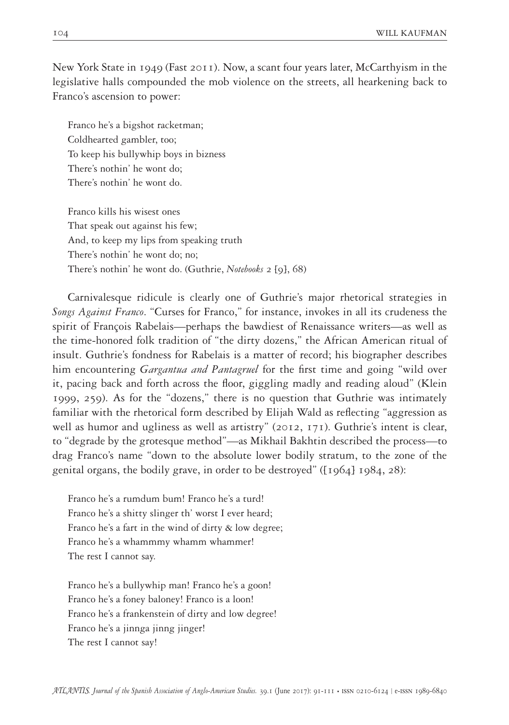New York State in 1949 (Fast 2011). Now, a scant four years later, McCarthyism in the legislative halls compounded the mob violence on the streets, all hearkening back to Franco's ascension to power:

Franco he's a bigshot racketman; Coldhearted gambler, too; To keep his bullywhip boys in bizness There's nothin' he wont do; There's nothin' he wont do.

Franco kills his wisest ones That speak out against his few; And, to keep my lips from speaking truth There's nothin' he wont do; no; There's nothin' he wont do. (Guthrie, *Notebooks* 2 [9], 68)

Carnivalesque ridicule is clearly one of Guthrie's major rhetorical strategies in *Songs Against Franco*. "Curses for Franco," for instance, invokes in all its crudeness the spirit of François Rabelais—perhaps the bawdiest of Renaissance writers—as well as the time-honored folk tradition of "the dirty dozens," the African American ritual of insult. Guthrie's fondness for Rabelais is a matter of record; his biographer describes him encountering *Gargantua and Pantagruel* for the first time and going "wild over it, pacing back and forth across the floor, giggling madly and reading aloud" (Klein 1999, 259). As for the "dozens," there is no question that Guthrie was intimately familiar with the rhetorical form described by Elijah Wald as reflecting "aggression as well as humor and ugliness as well as artistry" (2012, 171). Guthrie's intent is clear, to "degrade by the grotesque method"—as Mikhail Bakhtin described the process—to drag Franco's name "down to the absolute lower bodily stratum, to the zone of the genital organs, the bodily grave, in order to be destroyed" ([1964] 1984, 28):

Franco he's a rumdum bum! Franco he's a turd! Franco he's a shitty slinger th' worst I ever heard; Franco he's a fart in the wind of dirty & low degree; Franco he's a whammmy whamm whammer! The rest I cannot say.

Franco he's a bullywhip man! Franco he's a goon! Franco he's a foney baloney! Franco is a loon! Franco he's a frankenstein of dirty and low degree! Franco he's a jinnga jinng jinger! The rest I cannot say!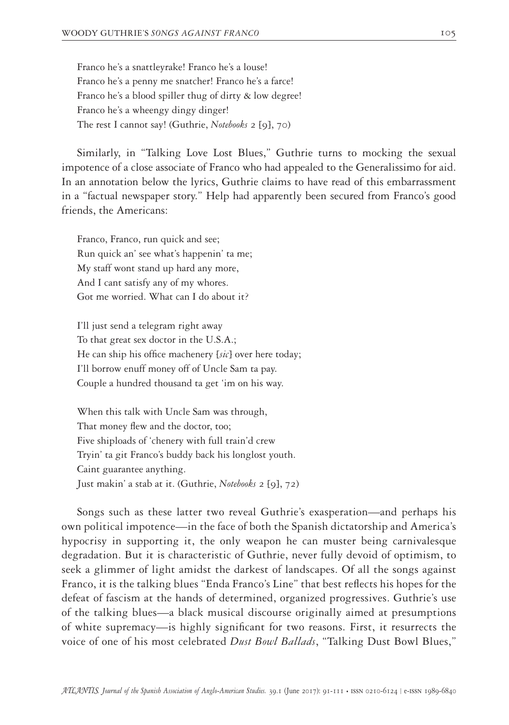Franco he's a snattleyrake! Franco he's a louse! Franco he's a penny me snatcher! Franco he's a farce! Franco he's a blood spiller thug of dirty & low degree! Franco he's a wheengy dingy dinger! The rest I cannot say! (Guthrie, *Notebooks* 2 [9], 70)

Similarly, in "Talking Love Lost Blues," Guthrie turns to mocking the sexual impotence of a close associate of Franco who had appealed to the Generalissimo for aid. In an annotation below the lyrics, Guthrie claims to have read of this embarrassment in a "factual newspaper story." Help had apparently been secured from Franco's good friends, the Americans:

Franco, Franco, run quick and see; Run quick an' see what's happenin' ta me; My staff wont stand up hard any more, And I cant satisfy any of my whores. Got me worried. What can I do about it?

I'll just send a telegram right away To that great sex doctor in the U.S.A.; He can ship his office machenery [*sic*] over here today; I'll borrow enuff money off of Uncle Sam ta pay. Couple a hundred thousand ta get 'im on his way.

When this talk with Uncle Sam was through, That money flew and the doctor, too; Five shiploads of 'chenery with full train'd crew Tryin' ta git Franco's buddy back his longlost youth. Caint guarantee anything. Just makin' a stab at it. (Guthrie, *Notebooks* 2 [9], 72)

Songs such as these latter two reveal Guthrie's exasperation—and perhaps his own political impotence—in the face of both the Spanish dictatorship and America's hypocrisy in supporting it, the only weapon he can muster being carnivalesque degradation. But it is characteristic of Guthrie, never fully devoid of optimism, to seek a glimmer of light amidst the darkest of landscapes. Of all the songs against Franco, it is the talking blues "Enda Franco's Line" that best reflects his hopes for the defeat of fascism at the hands of determined, organized progressives. Guthrie's use of the talking blues—a black musical discourse originally aimed at presumptions of white supremacy—is highly significant for two reasons. First, it resurrects the voice of one of his most celebrated *Dust Bowl Ballads*, "Talking Dust Bowl Blues,"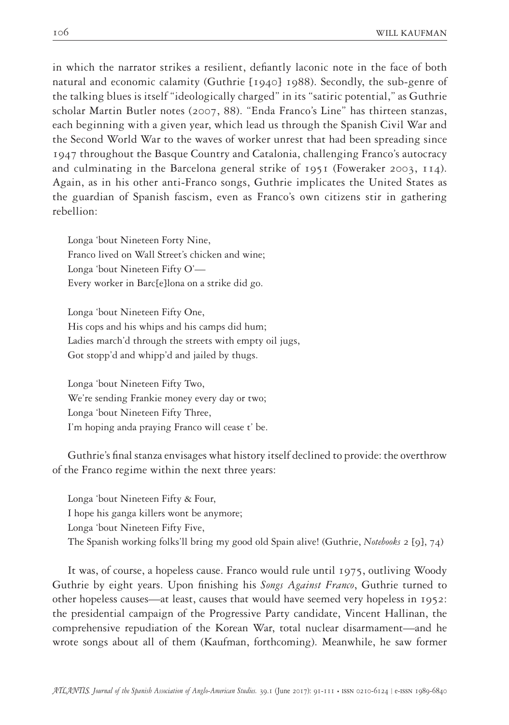in which the narrator strikes a resilient, defiantly laconic note in the face of both natural and economic calamity (Guthrie [1940] 1988). Secondly, the sub-genre of the talking blues is itself "ideologically charged" in its "satiric potential," as Guthrie scholar Martin Butler notes (2007, 88). "Enda Franco's Line" has thirteen stanzas, each beginning with a given year, which lead us through the Spanish Civil War and the Second World War to the waves of worker unrest that had been spreading since 1947 throughout the Basque Country and Catalonia, challenging Franco's autocracy and culminating in the Barcelona general strike of 1951 (Foweraker 2003, 114). Again, as in his other anti-Franco songs, Guthrie implicates the United States as the guardian of Spanish fascism, even as Franco's own citizens stir in gathering rebellion:

Longa 'bout Nineteen Forty Nine, Franco lived on Wall Street's chicken and wine; Longa 'bout Nineteen Fifty O'— Every worker in Barc[e]lona on a strike did go.

Longa 'bout Nineteen Fifty One, His cops and his whips and his camps did hum; Ladies march'd through the streets with empty oil jugs, Got stopp'd and whipp'd and jailed by thugs.

Longa 'bout Nineteen Fifty Two, We're sending Frankie money every day or two; Longa 'bout Nineteen Fifty Three, I'm hoping anda praying Franco will cease t' be.

Guthrie's final stanza envisages what history itself declined to provide: the overthrow of the Franco regime within the next three years:

Longa 'bout Nineteen Fifty & Four, I hope his ganga killers wont be anymore; Longa 'bout Nineteen Fifty Five, The Spanish working folks'll bring my good old Spain alive! (Guthrie, *Notebooks* 2 [9], 74)

It was, of course, a hopeless cause. Franco would rule until 1975, outliving Woody Guthrie by eight years. Upon finishing his *Songs Against Franco*, Guthrie turned to other hopeless causes—at least, causes that would have seemed very hopeless in 1952: the presidential campaign of the Progressive Party candidate, Vincent Hallinan, the comprehensive repudiation of the Korean War, total nuclear disarmament—and he wrote songs about all of them (Kaufman, forthcoming). Meanwhile, he saw former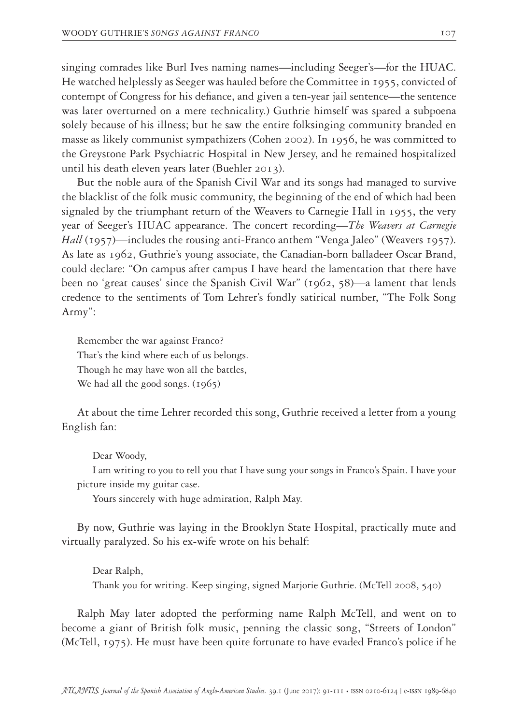singing comrades like Burl Ives naming names—including Seeger's—for the HUAC. He watched helplessly as Seeger was hauled before the Committee in 1955, convicted of contempt of Congress for his defiance, and given a ten-year jail sentence—the sentence was later overturned on a mere technicality.) Guthrie himself was spared a subpoena solely because of his illness; but he saw the entire folksinging community branded en masse as likely communist sympathizers (Cohen 2002). In 1956, he was committed to the Greystone Park Psychiatric Hospital in New Jersey, and he remained hospitalized until his death eleven years later (Buehler 2013).

But the noble aura of the Spanish Civil War and its songs had managed to survive the blacklist of the folk music community, the beginning of the end of which had been signaled by the triumphant return of the Weavers to Carnegie Hall in 1955, the very year of Seeger's HUAC appearance. The concert recording—*The Weavers at Carnegie Hall* (1957)—includes the rousing anti-Franco anthem "Venga Jaleo" (Weavers 1957). As late as 1962, Guthrie's young associate, the Canadian-born balladeer Oscar Brand, could declare: "On campus after campus I have heard the lamentation that there have been no 'great causes' since the Spanish Civil War" (1962, 58)—a lament that lends credence to the sentiments of Tom Lehrer's fondly satirical number, "The Folk Song Army":

Remember the war against Franco? That's the kind where each of us belongs. Though he may have won all the battles, We had all the good songs. (1965)

At about the time Lehrer recorded this song, Guthrie received a letter from a young English fan:

## Dear Woody,

I am writing to you to tell you that I have sung your songs in Franco's Spain. I have your picture inside my guitar case.

Yours sincerely with huge admiration, Ralph May.

By now, Guthrie was laying in the Brooklyn State Hospital, practically mute and virtually paralyzed. So his ex-wife wrote on his behalf:

Dear Ralph, Thank you for writing. Keep singing, signed Marjorie Guthrie. (McTell 2008, 540)

Ralph May later adopted the performing name Ralph McTell, and went on to become a giant of British folk music, penning the classic song, "Streets of London" (McTell, 1975). He must have been quite fortunate to have evaded Franco's police if he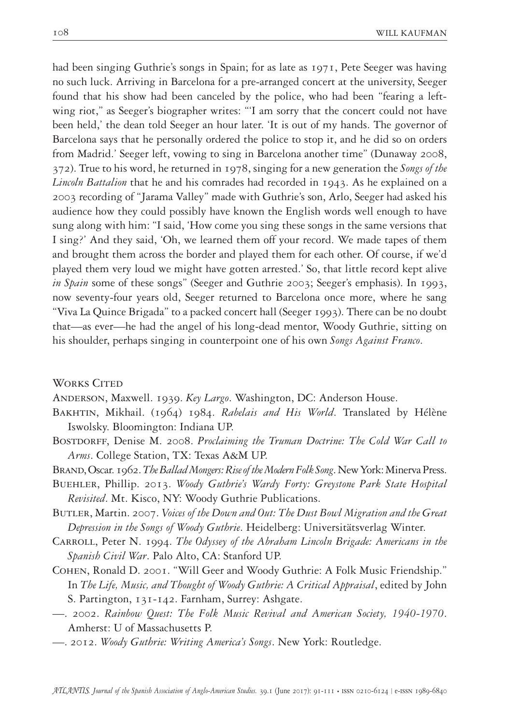had been singing Guthrie's songs in Spain; for as late as 1971, Pete Seeger was having no such luck. Arriving in Barcelona for a pre-arranged concert at the university, Seeger found that his show had been canceled by the police, who had been "fearing a leftwing riot," as Seeger's biographer writes: "'I am sorry that the concert could not have been held,' the dean told Seeger an hour later. 'It is out of my hands. The governor of Barcelona says that he personally ordered the police to stop it, and he did so on orders from Madrid.' Seeger left, vowing to sing in Barcelona another time" (Dunaway 2008, 372). True to his word, he returned in 1978, singing for a new generation the *Songs of the Lincoln Battalion* that he and his comrades had recorded in 1943. As he explained on a 2003 recording of "Jarama Valley" made with Guthrie's son, Arlo, Seeger had asked his audience how they could possibly have known the English words well enough to have sung along with him: "I said, 'How come you sing these songs in the same versions that I sing?' And they said, 'Oh, we learned them off your record. We made tapes of them and brought them across the border and played them for each other. Of course, if we'd played them very loud we might have gotten arrested.' So, that little record kept alive *in Spain* some of these songs" (Seeger and Guthrie 2003; Seeger's emphasis). In 1993, now seventy-four years old, Seeger returned to Barcelona once more, where he sang "Viva La Quince Brigada" to a packed concert hall (Seeger 1993). There can be no doubt that—as ever—he had the angel of his long-dead mentor, Woody Guthrie, sitting on his shoulder, perhaps singing in counterpoint one of his own *Songs Against Franco*.

WORKS CITED

Anderson, Maxwell. 1939. *Key Largo*. Washington, DC: Anderson House.

- Bakhtin, Mikhail. (1964) 1984. *Rabelais and His World*. Translated by Hélène Iswolsky. Bloomington: Indiana UP.
- BOSTDORFF, Denise M. 2008. *Proclaiming the Truman Doctrine: The Cold War Call to Arms*. College Station, TX: Texas A&M UP.
- Brand, Oscar. 1962. *The Ballad Mongers: Rise of the Modern Folk Song*. New York: Minerva Press.
- Buehler, Phillip. 2013. *Woody Guthrie's Wardy Forty: Greystone Park State Hospital Revisited*. Mt. Kisco, NY: Woody Guthrie Publications.
- Butler, Martin. 2007. *Voices of the Down and Out: The Dust Bowl Migration and the Great Depression in the Songs of Woody Guthrie*. Heidelberg: Universitätsverlag Winter.
- Carroll, Peter N. 1994. *The Odyssey of the Abraham Lincoln Brigade: Americans in the Spanish Civil War*. Palo Alto, CA: Stanford UP.
- Cohen, Ronald D. 2001. "Will Geer and Woody Guthrie: A Folk Music Friendship." In *The Life, Music, and Thought of Woody Guthrie: A Critical Appraisal*, edited by John S. Partington, 131-142. Farnham, Surrey: Ashgate.
- —. 2002. *Rainbow Quest: The Folk Music Revival and American Society, 1940-1970*. Amherst: U of Massachusetts P.
- —. 2012. *Woody Guthrie: Writing America's Songs*. New York: Routledge.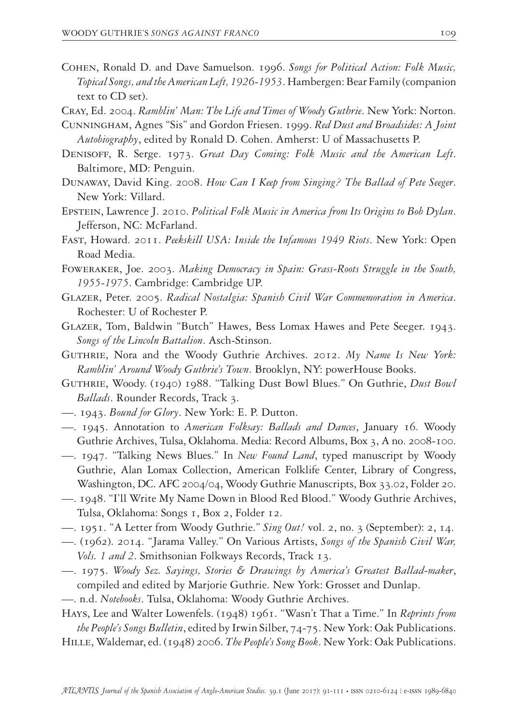- Cohen, Ronald D. and Dave Samuelson. 1996. *Songs for Political Action: Folk Music, Topical Songs, and the American Left, 1926-1953*. Hambergen: Bear Family (companion text to CD set).
- Cray, Ed. 2004. *Ramblin' Man: The Life and Times of Woody Guthrie*. New York: Norton.
- Cunningham, Agnes "Sis" and Gordon Friesen. 1999. *Red Dust and Broadsides: A Joint Autobiography*, edited by Ronald D. Cohen. Amherst: U of Massachusetts P.
- Denisoff, R. Serge. 1973. *Great Day Coming: Folk Music and the American Left*. Baltimore, MD: Penguin.
- Dunaway, David King. 2008. *How Can I Keep from Singing? The Ballad of Pete Seeger*. New York: Villard.
- Epstein, Lawrence J. 2010. *Political Folk Music in America from Its Origins to Bob Dylan*. Jefferson, NC: McFarland.
- Fast, Howard. 2011. *Peekskill USA: Inside the Infamous 1949 Riots*. New York: Open Road Media.
- Foweraker, Joe. 2003. *Making Democracy in Spain: Grass-Roots Struggle in the South, 1955-1975*. Cambridge: Cambridge UP.
- Glazer, Peter. 2005. *Radical Nostalgia: Spanish Civil War Commemoration in America*. Rochester: U of Rochester P.
- Glazer, Tom, Baldwin "Butch" Hawes, Bess Lomax Hawes and Pete Seeger. 1943. *Songs of the Lincoln Battalion*. Asch-Stinson.
- Guthrie, Nora and the Woody Guthrie Archives. 2012. *My Name Is New York: Ramblin' Around Woody Guthrie's Town*. Brooklyn, NY: powerHouse Books.
- Guthrie, Woody. (1940) 1988. "Talking Dust Bowl Blues." On Guthrie, *Dust Bowl Ballads*. Rounder Records, Track 3.
- —. 1943. *Bound for Glory*. New York: E. P. Dutton.
- —. 1945. Annotation to *American Folksay: Ballads and Dances*, January 16. Woody Guthrie Archives, Tulsa, Oklahoma. Media: Record Albums, Box 3, A no. 2008-100.
- —. 1947. "Talking News Blues." In *New Found Land*, typed manuscript by Woody Guthrie, Alan Lomax Collection, American Folklife Center, Library of Congress, Washington, DC. AFC 2004/04, Woody Guthrie Manuscripts, Box 33.02, Folder 20.
- —. 1948. "I'll Write My Name Down in Blood Red Blood." Woody Guthrie Archives, Tulsa, Oklahoma: Songs 1, Box 2, Folder 12.
- —. 1951. "A Letter from Woody Guthrie." *Sing Out!* vol. 2, no. 3 (September): 2, 14.
- —. (1962). 2014. "Jarama Valley." On Various Artists, *Songs of the Spanish Civil War, Vols. 1 and 2*. Smithsonian Folkways Records, Track 13.
- —. 1975. *Woody Sez. Sayings, Stories & Drawings by America's Greatest Ballad-maker*, compiled and edited by Marjorie Guthrie. New York: Grosset and Dunlap.
- —. n.d. *Notebooks*. Tulsa, Oklahoma: Woody Guthrie Archives.
- Hays, Lee and Walter Lowenfels. (1948) 1961. "Wasn't That a Time." In *Reprints from the People's Songs Bulletin*, edited by Irwin Silber, 74-75. New York: Oak Publications.
- Hille, Waldemar, ed. (1948) 2006. *The People's Song Book*. New York: Oak Publications.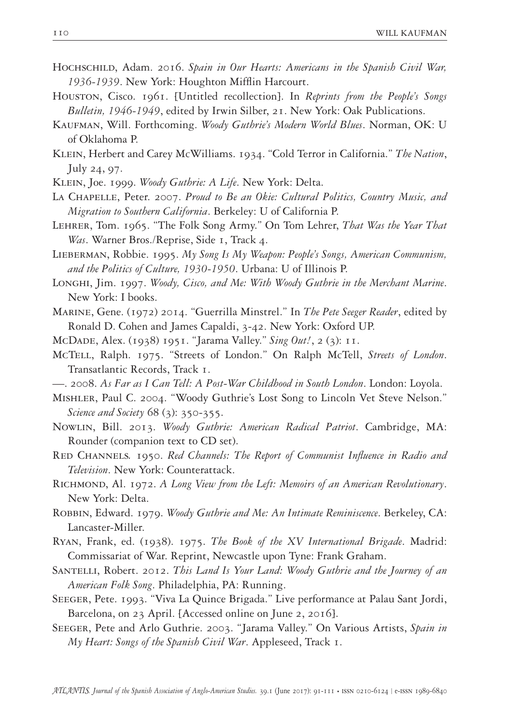- HOCHSCHILD, Adam. 2016. *Spain in Our Hearts: Americans in the Spanish Civil War*, *1936-1939*. New York: Houghton Mifflin Harcourt.
- Houston, Cisco. 1961. [Untitled recollection]. In *Reprints from the People's Songs Bulletin, 1946-1949*, edited by Irwin Silber, 21. New York: Oak Publications.
- Kaufman, Will. Forthcoming. *Woody Guthrie's Modern World Blues*. Norman, OK: U of Oklahoma P.
- Klein, Herbert and Carey McWilliams. 1934. "Cold Terror in California." *The Nation*, July 24, 97.
- Klein, Joe. 1999. *Woody Guthrie: A Life*. New York: Delta.
- La Chapelle, Peter. 2007. *Proud to Be an Okie: Cultural Politics, Country Music, and Migration to Southern California*. Berkeley: U of California P.
- Lehrer, Tom. 1965. "The Folk Song Army." On Tom Lehrer, *That Was the Year That Was*. Warner Bros./Reprise, Side 1, Track 4.
- Lieberman, Robbie. 1995. *My Song Is My Weapon: People's Songs, American Communism, and the Politics of Culture, 1930-1950*. Urbana: U of Illinois P.
- Longhi, Jim. 1997. *Woody, Cisco, and Me: With Woody Guthrie in the Merchant Marine*. New York: I books.
- Marine, Gene. (1972) 2014. "Guerrilla Minstrel." In *The Pete Seeger Reader*, edited by Ronald D. Cohen and James Capaldi, 3-42. New York: Oxford UP.
- McDade, Alex. (1938) 1951. "Jarama Valley." *Sing Out!*, 2 (3): 11.
- McTell, Ralph. 1975. "Streets of London." On Ralph McTell, *Streets of London*. Transatlantic Records, Track 1.
- —. 2008. *As Far as I Can Tell: A Post-War Childhood in South London*. London: Loyola.
- Mishler, Paul C. 2004. "Woody Guthrie's Lost Song to Lincoln Vet Steve Nelson." *Science and Society* 68 (3): 350-355.
- Nowlin, Bill. 2013. *Woody Guthrie: American Radical Patriot*. Cambridge, MA: Rounder (companion text to CD set).
- Red Channels*.* 1950. *Red Channels: The Report of Communist Influence in Radio and Television*. New York: Counterattack.
- Richmond, Al. 1972. *A Long View from the Left: Memoirs of an American Revolutionary*. New York: Delta.
- Robbin, Edward. 1979. *Woody Guthrie and Me: An Intimate Reminiscence*. Berkeley, CA: Lancaster-Miller.
- Ryan, Frank, ed. (1938). 1975. *The Book of the XV International Brigade*. Madrid: Commissariat of War. Reprint, Newcastle upon Tyne: Frank Graham.
- SANTELLI, Robert. 2012. *This Land Is Your Land: Woody Guthrie and the Journey of an American Folk Song*. Philadelphia, PA: Running.
- Seeger, Pete. 1993. "Viva La Quince Brigada." Live performance at Palau Sant Jordi, Barcelona, on 23 April. [Accessed online on June 2, 2016].
- Seeger, Pete and Arlo Guthrie. 2003. "Jarama Valley." On Various Artists, *Spain in My Heart: Songs of the Spanish Civil War*. Appleseed, Track 1.